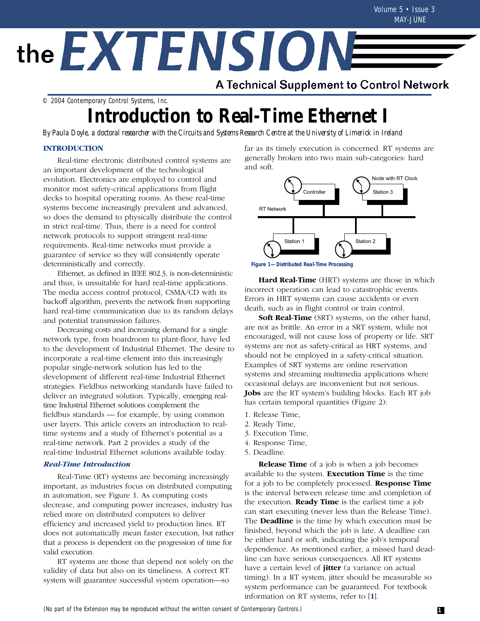# the EXTENSIONE

A Technical Supplement to Control Network

© 2004 Contemporary Control Systems, Inc.

# **Introduction to Real-Time Ethernet I**

*By Paula Doyle, a doctoral researcher with the Circuits and Systems Research Centre at the University of Limerick in Ireland*

# **INTRODUCTION**

Real-time electronic distributed control systems are an important development of the technological evolution. Electronics are employed to control and monitor most safety-critical applications from flight decks to hospital operating rooms. As these real-time systems become increasingly prevalent and advanced, so does the demand to physically distribute the control in strict real-time. Thus, there is a need for control network protocols to support stringent real-time requirements. Real-time networks must provide a guarantee of service so they will consistently operate deterministically and correctly.

Ethernet, as defined in IEEE 802.3, is non-deterministic and thus, is unsuitable for hard real-time applications. The media access control protocol, CSMA/CD with its backoff algorithm, prevents the network from supporting hard real-time communication due to its random delays and potential transmission failures.

Decreasing costs and increasing demand for a single network type, from boardroom to plant-floor, have led to the development of Industrial Ethernet. The desire to incorporate a real-time element into this increasingly popular single-network solution has led to the development of different real-time Industrial Ethernet strategies. Fieldbus networking standards have failed to deliver an integrated solution. Typically, emerging realtime Industrial Ethernet solutions complement the fieldbus standards — for example, by using common user layers. This article covers an introduction to realtime systems and a study of Ethernet's potential as a real-time network. Part 2 provides a study of the real-time Industrial Ethernet solutions available today.

## *Real-Time Introduction*

Real-Time (RT) systems are becoming increasingly important, as industries focus on distributed computing in automation, see Figure 1. As computing costs decrease, and computing power increases, industry has relied more on distributed computers to deliver efficiency and increased yield to production lines. RT does not automatically mean faster execution, but rather that a process is dependent on the progression of time for valid execution.

RT systems are those that depend not solely on the validity of data but also on its timeliness. A correct RT system will guarantee successful system operation—so

far as its timely execution is concerned. RT systems are generally broken into two main sub-categories: hard and soft.



**Figure 1—Distributed Real-Time Processing**

**Hard Real-Time** (HRT) systems are those in which incorrect operation can lead to catastrophic events. Errors in HRT systems can cause accidents or even death, such as in flight control or train control.

**Soft Real-Time** (SRT) systems, on the other hand, are not as brittle. An error in a SRT system, while not encouraged, will not cause loss of property or life. SRT systems are not as safety-critical as HRT systems, and should not be employed in a safety-critical situation. Examples of SRT systems are online reservation systems and streaming multimedia applications where occasional delays are inconvenient but not serious. **Jobs** are the RT system's building blocks. Each RT job has certain temporal quantities (Figure 2):

- 1. Release Time,
- 2. Ready Time,
- 3. Execution Time,
- 4. Response Time,
- 5. Deadline.

**Release Time** of a job is when a job becomes available to the system. **Execution Time** is the time for a job to be completely processed. **Response Time** is the interval between release time and completion of the execution. **Ready Time** is the earliest time a job can start executing (never less than the Release Time). The **Deadline** is the time by which execution must be finished, beyond which the job is late. A deadline can be either hard or soft, indicating the job's temporal dependence. As mentioned earlier, a missed hard deadline can have serious consequences. All RT systems have a certain level of **jitter** (a variance on actual timing). In a RT system, jitter should be measurable so system performance can be guaranteed. For textbook information on RT systems, refer to [**1**].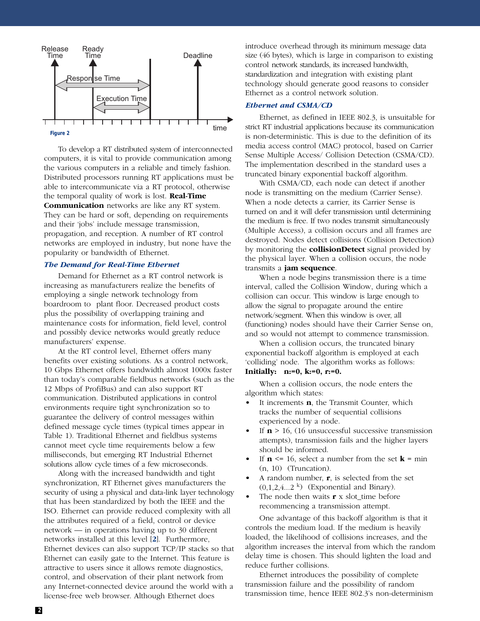

To develop a RT distributed system of interconnected computers, it is vital to provide communication among the various computers in a reliable and timely fashion. Distributed processors running RT applications must be able to intercommunicate via a RT protocol, otherwise the temporal quality of work is lost. **Real-Time Communication** networks are like any RT system. They can be hard or soft, depending on requirements and their 'jobs' include message transmission, propagation, and reception. A number of RT control networks are employed in industry, but none have the popularity or bandwidth of Ethernet.

#### *The Demand for Real-Time Ethernet*

Demand for Ethernet as a RT control network is increasing as manufacturers realize the benefits of employing a single network technology from boardroom to plant floor. Decreased product costs plus the possibility of overlapping training and maintenance costs for information, field level, control and possibly device networks would greatly reduce manufacturers' expense.

At the RT control level, Ethernet offers many benefits over existing solutions. As a control network, 10 Gbps Ethernet offers bandwidth almost 1000x faster than today's comparable fieldbus networks (such as the 12 Mbps of ProfiBus) and can also support RT communication. Distributed applications in control environments require tight synchronization so to guarantee the delivery of control messages within defined message cycle times (typical times appear in Table 1). Traditional Ethernet and fieldbus systems cannot meet cycle time requirements below a few milliseconds, but emerging RT Industrial Ethernet solutions allow cycle times of a few microseconds.

Along with the increased bandwidth and tight synchronization, RT Ethernet gives manufacturers the security of using a physical and data-link layer technology that has been standardized by both the IEEE and the ISO. Ethernet can provide reduced complexity with all the attributes required of a field, control or device network — in operations having up to 30 different networks installed at this level [**2**]. Furthermore, Ethernet devices can also support TCP/IP stacks so that Ethernet can easily gate to the Internet. This feature is attractive to users since it allows remote diagnostics, control, and observation of their plant network from any Internet-connected device around the world with a license-free web browser. Although Ethernet does

introduce overhead through its minimum message data size (46 bytes), which is large in comparison to existing control network standards, its increased bandwidth, standardization and integration with existing plant technology should generate good reasons to consider Ethernet as a control network solution.

#### *Ethernet and CSMA/CD*

Ethernet, as defined in IEEE 802.3, is unsuitable for strict RT industrial applications because its communication is non-deterministic. This is due to the definition of its media access control (MAC) protocol, based on Carrier Sense Multiple Access/ Collision Detection (CSMA/CD). The implementation described in the standard uses a truncated binary exponential backoff algorithm.

With CSMA/CD, each node can detect if another node is transmitting on the medium (Carrier Sense). When a node detects a carrier, its Carrier Sense is turned on and it will defer transmission until determining the medium is free. If two nodes transmit simultaneously (Multiple Access), a collision occurs and all frames are destroyed. Nodes detect collisions (Collision Detection) by monitoring the **collisionDetect** signal provided by the physical layer. When a collision occurs, the node transmits a **jam sequence**.

When a node begins transmission there is a time interval, called the Collision Window, during which a collision can occur. This window is large enough to allow the signal to propagate around the entire network/segment. When this window is over, all (functioning) nodes should have their Carrier Sense on, and so would not attempt to commence transmission.

When a collision occurs, the truncated binary exponential backoff algorithm is employed at each 'colliding' node. The algorithm works as follows: **Initially: n:=0, k:=0, r:=0.**

When a collision occurs, the node enters the algorithm which states:

- It increments **n**, the Transmit Counter, which tracks the number of sequential collisions experienced by a node.
- If  $\mathbf{n}$  > 16, (16 unsuccessful successive transmission attempts), transmission fails and the higher layers should be informed.
- If  $n \leq 16$ , select a number from the set  $k = \min$ (n, 10) (Truncation).
- A random number, **r**, is selected from the set  $(0,1,2,4...2^k)$  (Exponential and Binary).
- The node then waits  $\mathbf{r}$  x slot time before recommencing a transmission attempt.

One advantage of this backoff algorithm is that it controls the medium load. If the medium is heavily loaded, the likelihood of collisions increases, and the algorithm increases the interval from which the random delay time is chosen. This should lighten the load and reduce further collisions.

Ethernet introduces the possibility of complete transmission failure and the possibility of random transmission time, hence IEEE 802.3's non-determinism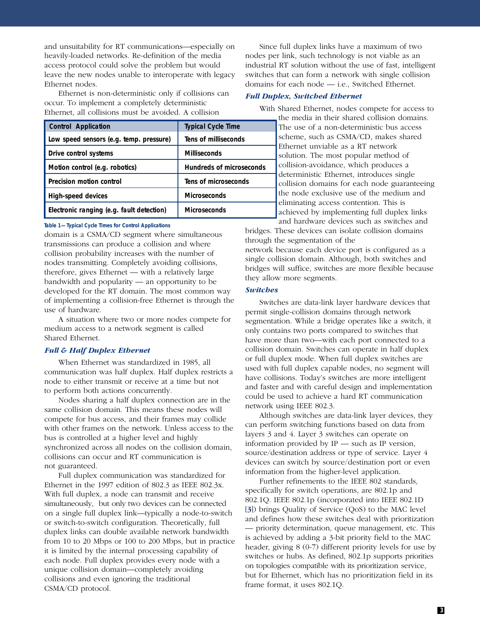and unsuitability for RT communications—especially on heavily-loaded networks. Re-definition of the media access protocol could solve the problem but would leave the new nodes unable to interoperate with legacy Ethernet nodes.

Ethernet is non-deterministic only if collisions can occur. To implement a completely deterministic Ethernet, all collisions must be avoided. A collision

| <b>Control Application</b>                | <b>Typical Cycle Time</b>       |
|-------------------------------------------|---------------------------------|
| Low speed sensors (e.g. temp. pressure)   | Tens of milliseconds            |
| Drive control systems                     | <b>Milliseconds</b>             |
| Motion control (e.g. robotics)            | <b>Hundreds of microseconds</b> |
| <b>Precision motion control</b>           | Tens of microseconds            |
| <b>High-speed devices</b>                 | <b>Microseconds</b>             |
| Electronic ranging (e.g. fault detection) | <b>Microseconds</b>             |

#### **Table 1—Typical Cycle Times for Control Applications**

domain is a CSMA/CD segment where simultaneous transmissions can produce a collision and where collision probability increases with the number of nodes transmitting. Completely avoiding collisions, therefore, gives Ethernet — with a relatively large bandwidth and popularity — an opportunity to be developed for the RT domain. The most common way of implementing a collision-free Ethernet is through the use of hardware.

A situation where two or more nodes compete for medium access to a network segment is called Shared Ethernet.

#### *Full & Half Duplex Ethernet*

When Ethernet was standardized in 1985, all communication was half duplex. Half duplex restricts a node to either transmit or receive at a time but not to perform both actions concurrently.

Nodes sharing a half duplex connection are in the same collision domain. This means these nodes will compete for bus access, and their frames may collide with other frames on the network. Unless access to the bus is controlled at a higher level and highly synchronized across all nodes on the collision domain, collisions can occur and RT communication is not guaranteed.

Full duplex communication was standardized for Ethernet in the 1997 edition of 802.3 as IEEE 802.3x. With full duplex, a node can transmit and receive simultaneously, but only two devices can be connected on a single full duplex link—typically a node-to-switch or switch-to-switch configuration. Theoretically, full duplex links can double available network bandwidth from 10 to 20 Mbps or 100 to 200 Mbps, but in practice it is limited by the internal processing capability of each node. Full duplex provides every node with a unique collision domain—completely avoiding collisions and even ignoring the traditional CSMA/CD protocol.

Since full duplex links have a maximum of two nodes per link, such technology is not viable as an industrial RT solution without the use of fast, intelligent switches that can form a network with single collision domains for each node — i.e., Switched Ethernet.

#### *Full Duplex, Switched Ethernet*

With Shared Ethernet, nodes compete for access to

the media in their shared collision domains. The use of a non-deterministic bus access scheme, such as CSMA/CD, makes shared Ethernet unviable as a RT network solution. The most popular method of collision-avoidance, which produces a deterministic Ethernet, introduces single collision domains for each node guaranteeing the node exclusive use of the medium and eliminating access contention. This is achieved by implementing full duplex links and hardware devices such as switches and

bridges. These devices can isolate collision domains through the segmentation of the network because each device port is configured as a single collision domain. Although, both switches and bridges will suffice, switches are more flexible because they allow more segments.

#### *Switches*

Switches are data-link layer hardware devices that permit single-collision domains through network segmentation. While a bridge operates like a switch, it only contains two ports compared to switches that have more than two—with each port connected to a collision domain. Switches can operate in half duplex or full duplex mode. When full duplex switches are used with full duplex capable nodes, no segment will have collisions. Today's switches are more intelligent and faster and with careful design and implementation could be used to achieve a hard RT communication network using IEEE 802.3.

Although switches are data-link layer devices, they can perform switching functions based on data from layers 3 and 4. Layer 3 switches can operate on information provided by IP — such as IP version, source/destination address or type of service. Layer 4 devices can switch by source/destination port or even information from the higher-level application.

Further refinements to the IEEE 802 standards, specifically for switch operations, are 802.1p and 802.1Q. IEEE 802.1p (incorporated into IEEE 802.1D [**3**]) brings Quality of Service (QoS) to the MAC level and defines how these switches deal with prioritization — priority determination, queue management, etc. This is achieved by adding a 3-bit priority field to the MAC header, giving 8 (0-7) different priority levels for use by switches or hubs. As defined, 802.1p supports priorities on topologies compatible with its prioritization service, but for Ethernet, which has no prioritization field in its frame format, it uses 802.1Q.